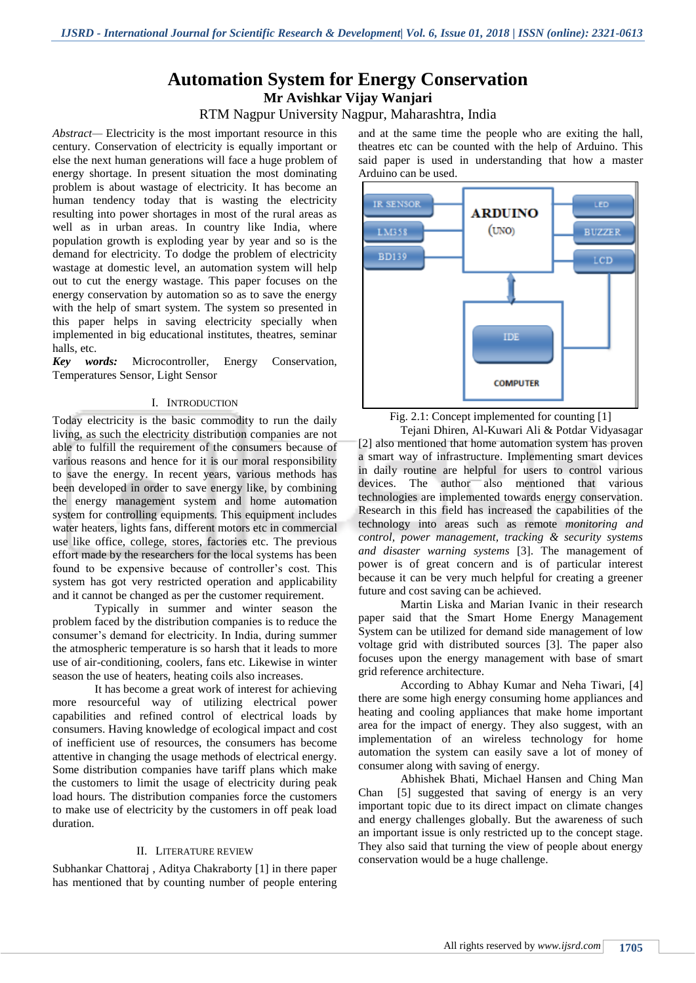# **Automation System for Energy Conservation Mr Avishkar Vijay Wanjari**

# RTM Nagpur University Nagpur, Maharashtra, India

*Abstract—* Electricity is the most important resource in this century. Conservation of electricity is equally important or else the next human generations will face a huge problem of energy shortage. In present situation the most dominating problem is about wastage of electricity. It has become an human tendency today that is wasting the electricity resulting into power shortages in most of the rural areas as well as in urban areas. In country like India, where population growth is exploding year by year and so is the demand for electricity. To dodge the problem of electricity wastage at domestic level, an automation system will help out to cut the energy wastage. This paper focuses on the energy conservation by automation so as to save the energy with the help of smart system. The system so presented in this paper helps in saving electricity specially when implemented in big educational institutes, theatres, seminar halls, etc.

*Key words:* Microcontroller, Energy Conservation, Temperatures Sensor, Light Sensor

#### I. INTRODUCTION

Today electricity is the basic commodity to run the daily living, as such the electricity distribution companies are not able to fulfill the requirement of the consumers because of various reasons and hence for it is our moral responsibility to save the energy. In recent years, various methods has been developed in order to save energy like, by combining the energy management system and home automation system for controlling equipments. This equipment includes water heaters, lights fans, different motors etc in commercial use like office, college, stores, factories etc. The previous effort made by the researchers for the local systems has been found to be expensive because of controller's cost. This system has got very restricted operation and applicability and it cannot be changed as per the customer requirement.

Typically in summer and winter season the problem faced by the distribution companies is to reduce the consumer's demand for electricity. In India, during summer the atmospheric temperature is so harsh that it leads to more use of air-conditioning, coolers, fans etc. Likewise in winter season the use of heaters, heating coils also increases.

It has become a great work of interest for achieving more resourceful way of utilizing electrical power capabilities and refined control of electrical loads by consumers. Having knowledge of ecological impact and cost of inefficient use of resources, the consumers has become attentive in changing the usage methods of electrical energy. Some distribution companies have tariff plans which make the customers to limit the usage of electricity during peak load hours. The distribution companies force the customers to make use of electricity by the customers in off peak load duration.

# II. LITERATURE REVIEW

Subhankar Chattoraj , Aditya Chakraborty [1] in there paper has mentioned that by counting number of people entering

and at the same time the people who are exiting the hall, theatres etc can be counted with the help of Arduino. This said paper is used in understanding that how a master Arduino can be used.



Fig. 2.1: Concept implemented for counting [1]

Tejani Dhiren, Al-Kuwari Ali & Potdar Vidyasagar [2] also mentioned that home automation system has proven a smart way of infrastructure. Implementing smart devices in daily routine are helpful for users to control various devices. The author also mentioned that various technologies are implemented towards energy conservation. Research in this field has increased the capabilities of the technology into areas such as remote *monitoring and control, power management, tracking & security systems and disaster warning systems* [3]. The management of power is of great concern and is of particular interest because it can be very much helpful for creating a greener future and cost saving can be achieved.

Martin Liska and Marian Ivanic in their research paper said that the Smart Home Energy Management System can be utilized for demand side management of low voltage grid with distributed sources [3]. The paper also focuses upon the energy management with base of smart grid reference architecture.

According to Abhay Kumar and Neha Tiwari, [4] there are some high energy consuming home appliances and heating and cooling appliances that make home important area for the impact of energy. They also suggest, with an implementation of an wireless technology for home automation the system can easily save a lot of money of consumer along with saving of energy.

[Abhishek Bhati, Michael Hansen](http://www.sciencedirect.com/science/article/pii/S0301421517300393#!) and [Ching Man](http://www.sciencedirect.com/science/article/pii/S0301421517300393#!)  [Chan](http://www.sciencedirect.com/science/article/pii/S0301421517300393#!) [5] suggested that saving of energy is an very important topic due to its direct impact on climate changes and energy challenges globally. But the awareness of such an important issue is only restricted up to the concept stage. They also said that turning the view of people about energy conservation would be a huge challenge.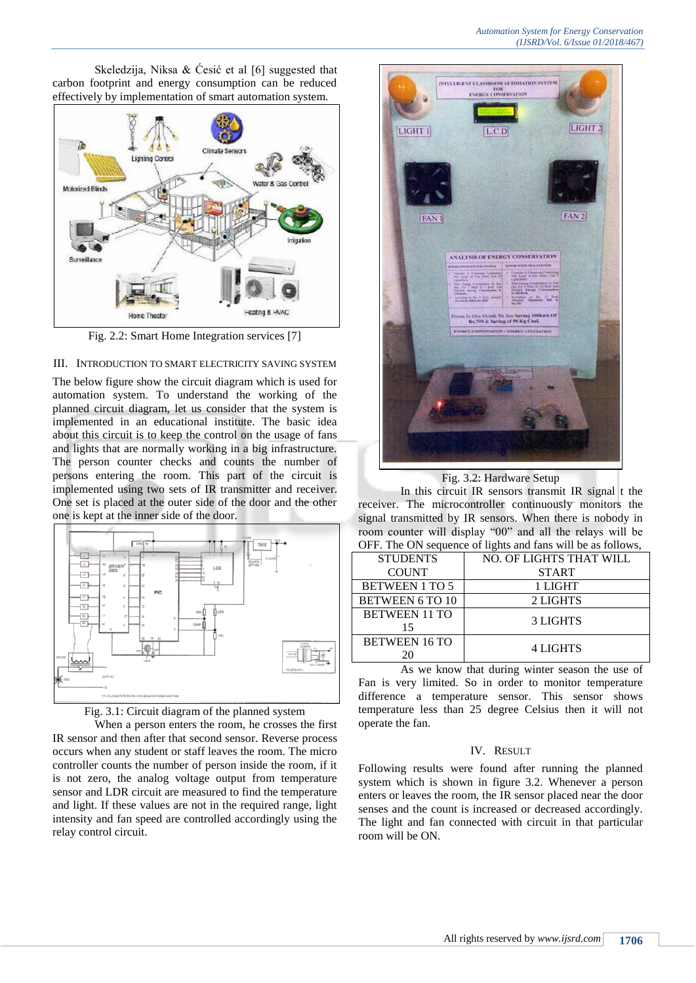Skeledzija, Niksa  $\&$  Ćesić et al [6] suggested that carbon footprint and energy consumption can be reduced effectively by implementation of smart automation system.



Fig. 2.2: Smart Home Integration services [7]

# III. INTRODUCTION TO SMART ELECTRICITY SAVING SYSTEM

The below figure show the circuit diagram which is used for automation system. To understand the working of the planned circuit diagram, let us consider that the system is implemented in an educational institute. The basic idea about this circuit is to keep the control on the usage of fans and lights that are normally working in a big infrastructure. The person counter checks and counts the number of persons entering the room. This part of the circuit is implemented using two sets of IR transmitter and receiver. One set is placed at the outer side of the door and the other one is kept at the inner side of the door.





When a person enters the room, he crosses the first IR sensor and then after that second sensor. Reverse process occurs when any student or staff leaves the room. The micro controller counts the number of person inside the room, if it is not zero, the analog voltage output from temperature sensor and LDR circuit are measured to find the temperature and light. If these values are not in the required range, light intensity and fan speed are controlled accordingly using the relay control circuit.



Fig. 3.2: Hardware Setup

In this circuit IR sensors transmit IR signal t the receiver. The microcontroller continuously monitors the signal transmitted by IR sensors. When there is nobody in room counter will display "00" and all the relays will be OFF. The ON sequence of lights and fans will be as follows,

| <b>STUDENTS</b>            | NO. OF LIGHTS THAT WILL |
|----------------------------|-------------------------|
| <b>COUNT</b>               | <b>START</b>            |
| <b>BETWEEN 1 TO 5</b>      | 1 LIGHT                 |
| <b>BETWEEN 6 TO 10</b>     | 2 LIGHTS                |
| <b>BETWEEN 11 TO</b><br>15 | <b>3 LIGHTS</b>         |
| <b>BETWEEN 16 TO</b>       | <b>4 LIGHTS</b>         |

As we know that during winter season the use of Fan is very limited. So in order to monitor temperature difference a temperature sensor. This sensor shows temperature less than 25 degree Celsius then it will not operate the fan.

# IV. RESULT

Following results were found after running the planned system which is shown in figure 3.2. Whenever a person enters or leaves the room, the IR sensor placed near the door senses and the count is increased or decreased accordingly. The light and fan connected with circuit in that particular room will be ON.